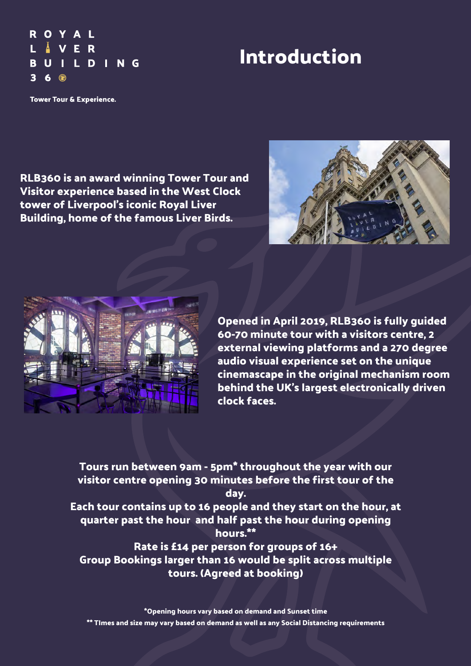## **Introduction**

**ROYAL** L A VER **BUILDING**  $36@$ 

Tower Tour & Experience.

**RLB360 is an award winning Tower Tour and Visitor experience based in the West Clock tower of Liverpool's iconic Royal Liver Building, home of the famous Liver Birds.**





**Opened in April 2019, RLB360 is fully guided 60-70 minute tour with a visitors centre, 2 external viewing platforms and a 270 degree audio visual experience set on the unique cinemascape in the original mechanism room behind the UK's largest electronically driven clock faces.**

**Tours run between 9am - 5pm\* throughout the year with our visitor centre opening 30 minutes before the first tour of the day.**

**Each tour contains up to 16 people and they start on the hour, at quarter past the hour and half past the hour during opening hours.\*\***

**Rate is £14 per person for groups of 16+ Group Bookings larger than 16 would be split across multiple tours. (Agreed at booking)**

**\*Opening hours vary based on demand and Sunset time \*\* TImes and size may vary based on demand as well as any Social Distancing requirements**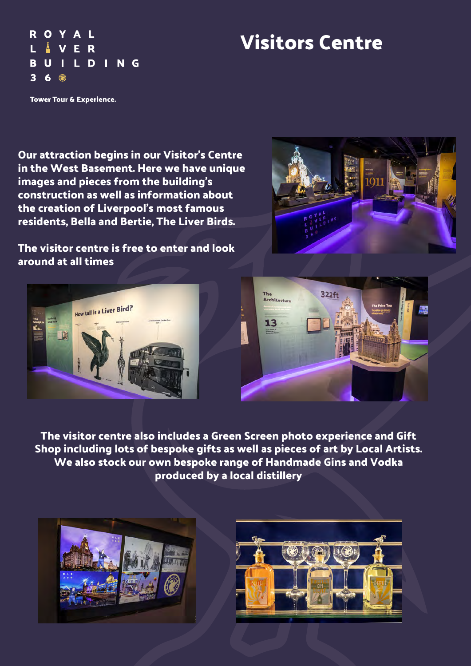## **Visitors Centre**

Tower Tour & Experience.

A L

ER **BUILDING** 

ROY

L

 $\overline{\mathbf{3}}$ 6

**Our attraction begins in our Visitor's Centre in the West Basement. Here we have unique images and pieces from the building's construction as well as information about the creation of Liverpool's most famous residents, Bella and Bertie, The Liver Birds.**

**The visitor centre is free to enter and look around at all times**







**The visitor centre also includes a Green Screen photo experience and Gift Shop including lots of bespoke gifts as well as pieces of art by Local Artists. We also stock our own bespoke range of Handmade Gins and Vodka produced by a local distillery**



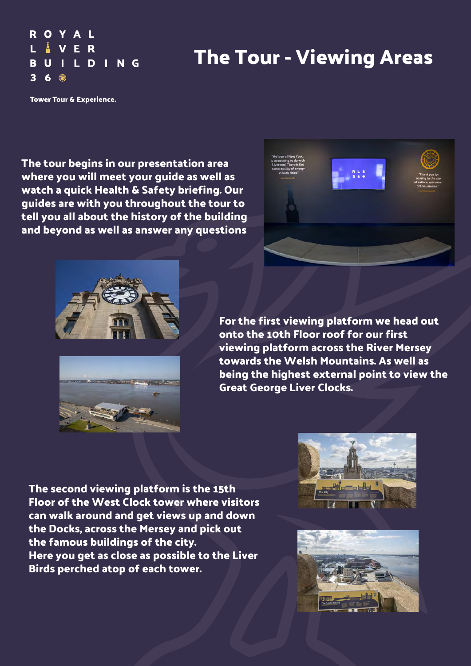## **The Tour - Viewing Areas**

Tower Tour & Experience.

VER

**BUILDING** 

**ROYAL** 

 $6@$ 

L.

 $\overline{\mathbf{3}}$ 

**The tour begins in our presentation area where you will meet your guide as well as watch a quick Health & Safety briefing. Our guides are with you throughout the tour to tell you all about the history of the building and beyond as well as answer any questions**





**For the first viewing platform we head out onto the 10th Floor roof for our first viewing platform across the River Mersey towards the Welsh Mountains. As well as being the highest external point to view the Great George Liver Clocks.**

**The second viewing platform is the 15th Floor of the West Clock tower where visitors can walk around and get views up and down the Docks, across the Mersey and pick out the famous buildings of the city. Here you get as close as possible to the Liver Birds perched atop of each tower.**



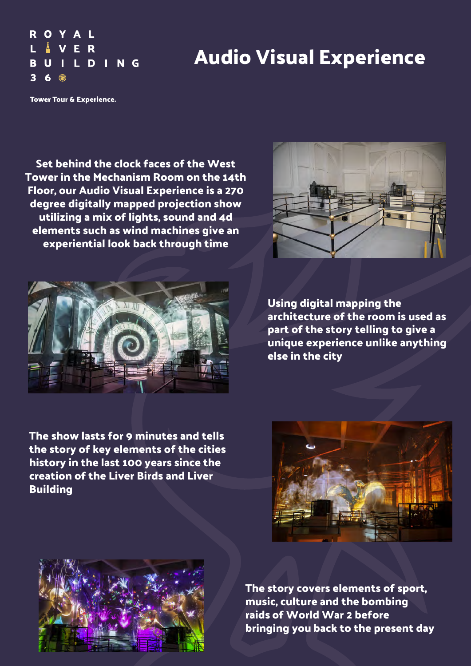## **Audio Visual Experience**

Tower Tour & Experience.

VER

**BUILDING** 

**ROYAL** 

 $6 \odot$ 

L.

 $\overline{\mathbf{3}}$ 

**Set behind the clock faces of the West Tower in the Mechanism Room on the 14th Floor, our Audio Visual Experience is a 270 degree digitally mapped projection show utilizing a mix of lights, sound and 4d elements such as wind machines give an experiential look back through time**





**Using digital mapping the architecture of the room is used as part of the story telling to give a unique experience unlike anything else in the city**

**The show lasts for 9 minutes and tells the story of key elements of the cities history in the last 100 years since the creation of the Liver Birds and Liver Building**





**The story covers elements of sport, music, culture and the bombing raids of World War 2 before bringing you back to the present day**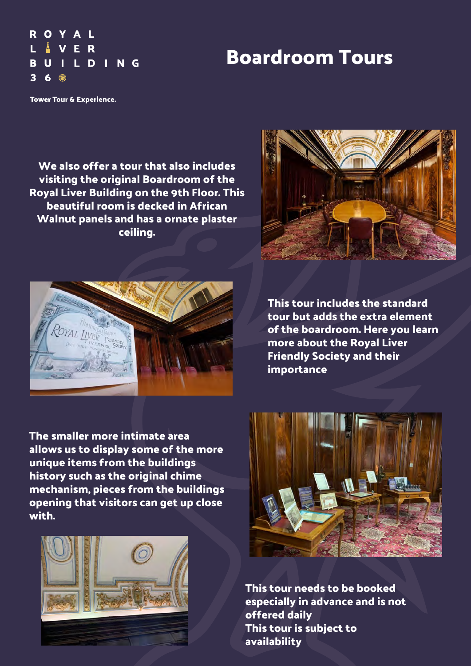## **Boardroom Tours**

**ROYAL** L VER **BUILDING**  $\overline{\mathbf{3}}$  $6@$ 

Tower Tour & Experience.

**We also offer a tour that also includes visiting the original Boardroom of the Royal Liver Building on the 9th Floor. This beautiful room is decked in African Walnut panels and has a ornate plaster ceiling.**





**This tour includes the standard tour but adds the extra element of the boardroom. Here you learn more about the Royal Liver Friendly Society and their importance**

**The smaller more intimate area allows us to display some of the more unique items from the buildings history such as the original chime mechanism, pieces from the buildings opening that visitors can get up close with.**





**This tour needs to be booked especially in advance and is not offered daily This tour is subject to availability**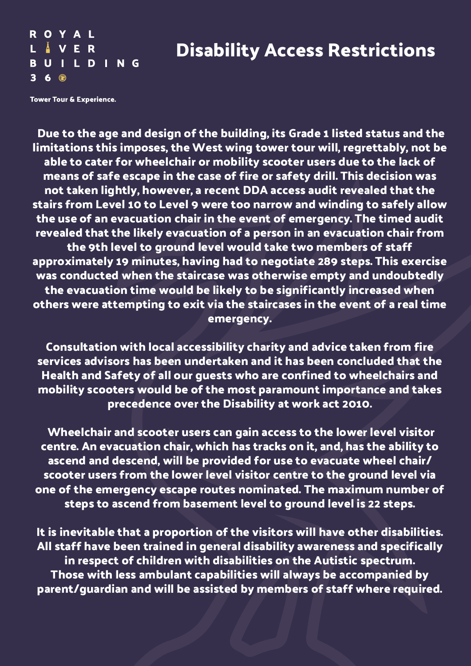### **Disability Access Restrictions**

Tower Tour & Experience.

**BUILDING** 

ROYAL L Å V E R

 $36@$ 

 **Due to the age and design of the building, its Grade 1 listed status and the limitations this imposes, the West wing tower tour will, regrettably, not be able to cater for wheelchair or mobility scooter users due to the lack of means of safe escape in the case of fire or safety drill. This decision was not taken lightly, however, a recent DDA access audit revealed that the stairs from Level 10 to Level 9 were too narrow and winding to safely allow the use of an evacuation chair in the event of emergency. The timed audit revealed that the likely evacuation of a person in an evacuation chair from the 9th level to ground level would take two members of staff approximately 19 minutes, having had to negotiate 289 steps. This exercise was conducted when the staircase was otherwise empty and undoubtedly the evacuation time would be likely to be significantly increased when others were attempting to exit via the staircases in the event of a real time emergency.** 

**Consultation with local accessibility charity and advice taken from fire services advisors has been undertaken and it has been concluded that the Health and Safety of all our guests who are confined to wheelchairs and mobility scooters would be of the most paramount importance and takes precedence over the Disability at work act 2010.**

 **Wheelchair and scooter users can gain access to the lower level visitor centre. An evacuation chair, which has tracks on it, and, has the ability to ascend and descend, will be provided for use to evacuate wheel chair/ scooter users from the lower level visitor centre to the ground level via one of the emergency escape routes nominated. The maximum number of steps to ascend from basement level to ground level is 22 steps.** 

**It is inevitable that a proportion of the visitors will have other disabilities. All staff have been trained in general disability awareness and specifically in respect of children with disabilities on the Autistic spectrum. Those with less ambulant capabilities will always be accompanied by parent/guardian and will be assisted by members of staff where required.**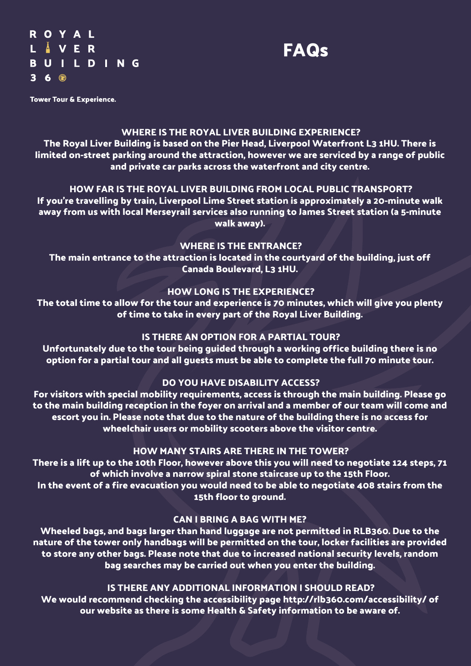**ROYAL** L Å V E R **BUILDING**  $36@$ 



Tower Tour & Experience.

#### **WHERE IS THE ROYAL LIVER BUILDING EXPERIENCE?**

**The Royal Liver Building is based on the Pier Head, Liverpool Waterfront L3 1HU. There is limited on-street parking around the attraction, however we are serviced by a range of public and private car parks across the waterfront and city centre.**

#### **HOW FAR IS THE ROYAL LIVER BUILDING FROM LOCAL PUBLIC TRANSPORT?**

**If you're travelling by train, Liverpool Lime Street station is approximately a 20-minute walk away from us with local Merseyrail services also running to James Street station (a 5-minute walk away).**

#### **WHERE IS THE ENTRANCE?**

**The main entrance to the attraction is located in the courtyard of the building, just off Canada Boulevard, L3 1HU.**

#### **HOW LONG IS THE EXPERIENCE?**

**The total time to allow for the tour and experience is 70 minutes, which will give you plenty of time to take in every part of the Royal Liver Building.**

#### **IS THERE AN OPTION FOR A PARTIAL TOUR?**

**Unfortunately due to the tour being guided through a working office building there is no option for a partial tour and all guests must be able to complete the full 70 minute tour.**

#### **DO YOU HAVE DISABILITY ACCESS?**

**For visitors with special mobility requirements, access is through the main building. Please go to the main building reception in the foyer on arrival and a member of our team will come and escort you in. Please note that due to the nature of the building there is no access for wheelchair users or mobility scooters above the visitor centre.**

#### **HOW MANY STAIRS ARE THERE IN THE TOWER?**

**There is a lift up to the 10th Floor, however above this you will need to negotiate 124 steps, 71 of which involve a narrow spiral stone staircase up to the 15th Floor. In the event of a fire evacuation you would need to be able to negotiate 408 stairs from the 15th floor to ground.**

#### **CAN I BRING A BAG WITH ME?**

**Wheeled bags, and bags larger than hand luggage are not permitted in RLB360. Due to the nature of the tower only handbags will be permitted on the tour, locker facilities are provided to store any other bags. Please note that due to increased national security levels, random bag searches may be carried out when you enter the building.**

#### **IS THERE ANY ADDITIONAL INFORMATION I SHOULD READ?**

**We would recommend checking the accessibility page http://rlb360.com/accessibility/ of our website as there is some Health & Safety information to be aware of.**